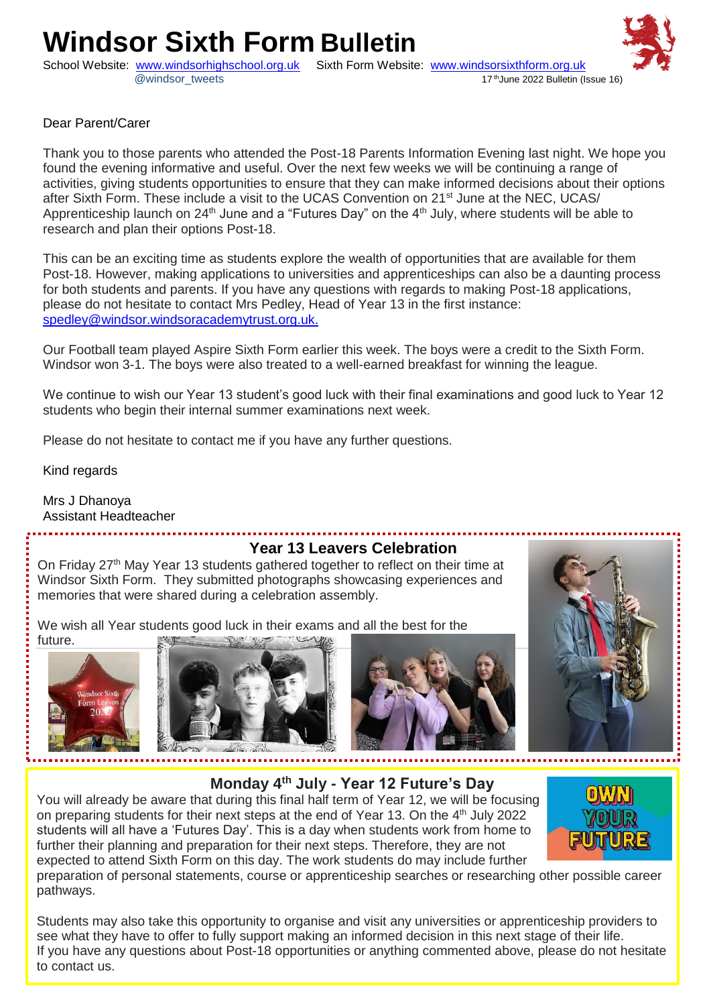# **Windsor Sixth Form Bulletin**

School Website: [www.windsorhighschool.org.uk](http://www.windsorhighschool.org.uk/) Sixth Form Website: <u>www.windsorsixthform.org.uk</u><br>(17<sup>th</sup>June 2022 Bulletin (Issue 16)&@windsor\_tweets



Thank you to those parents who attended the Post-18 Parents Information Evening last night. We hope you found the evening informative and useful. Over the next few weeks we will be continuing a range of activities, giving students opportunities to ensure that they can make informed decisions about their options after Sixth Form. These include a visit to the UCAS Convention on 21<sup>st</sup> June at the NEC, UCAS/ Apprenticeship launch on  $24<sup>th</sup>$  June and a "Futures Day" on the  $4<sup>th</sup>$  July, where students will be able to research and plan their options Post-18.

This can be an exciting time as students explore the wealth of opportunities that are available for them Post-18. However, making applications to universities and apprenticeships can also be a daunting process for both students and parents. If you have any questions with regards to making Post-18 applications, please do not hesitate to contact Mrs Pedley, Head of Year 13 in the first instance: <spedley@windsor.windsoracademytrust.org.uk.>

Our Football team played Aspire Sixth Form earlier this week. The boys were a credit to the Sixth Form. Windsor won 3-1. The boys were also treated to a well-earned breakfast for winning the league.

We continue to wish our Year 13 student's good luck with their final examinations and good luck to Year 12 students who begin their internal summer examinations next week.

Please do not hesitate to contact me if you have any further questions.

Kind regards

Mrs J Dhanoya Assistant Headteacher

#### **Year 13 Leavers Celebration**

On Friday 27<sup>th</sup> May Year 13 students gathered together to reflect on their time at Windsor Sixth Form. They submitted photographs showcasing experiences and memories that were shared during a celebration assembly.

We wish all Year students good luck in their exams and all the best for the



future.







**Monday 4th July - Year 12 Future's Day**

You will already be aware that during this final half term of Year 12, we will be focusing on preparing students for their next steps at the end of Year 13. On the 4<sup>th</sup> July 2022 students will all have a 'Futures Day'. This is a day when students work from home to further their planning and preparation for their next steps. Therefore, they are not expected to attend Sixth Form on this day. The work students do may include further



preparation of personal statements, course or apprenticeship searches or researching other possible career pathways.

**The Sixth Formanding Sixth Formanding** see what they have to offer to fully support making an informed decision in this next stage of their life. Students may also take this opportunity to organise and visit any universities or apprenticeship providers to If you have any questions about Post-18 opportunities or anything commented above, please do not hesitate to contact us.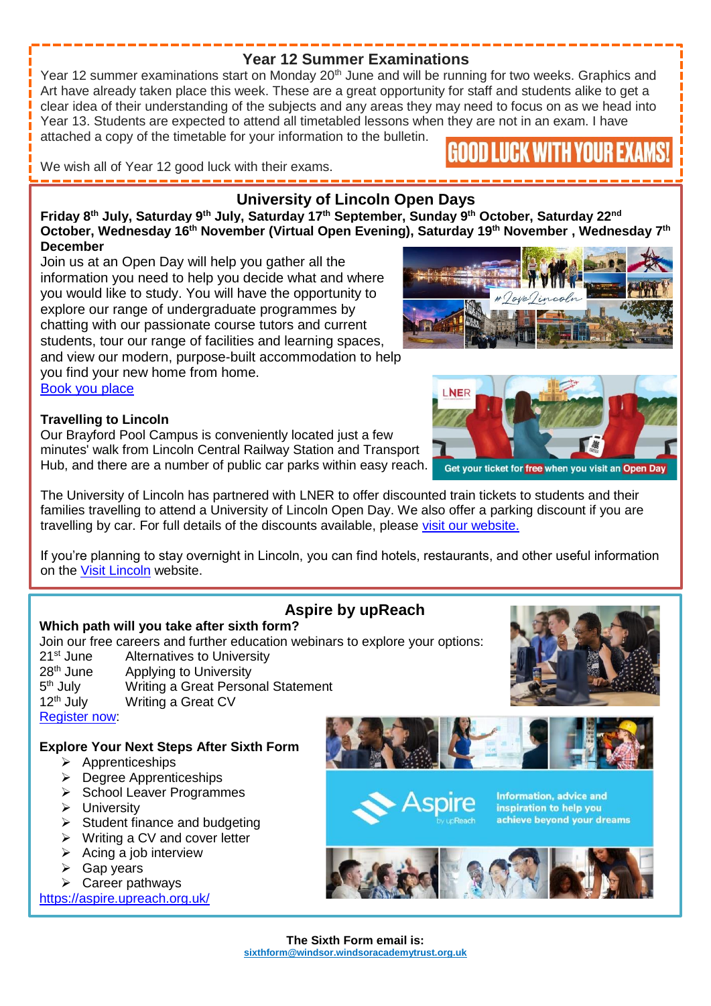#### **Year 12 Summer Examinations**

Year 12 summer examinations start on Monday 20<sup>th</sup> June and will be running for two weeks. Graphics and Art have already taken place this week. These are a great opportunity for staff and students alike to get a clear idea of their understanding of the subjects and any areas they may need to focus on as we head into Year 13. Students are expected to attend all timetabled lessons when they are not in an exam. I have attached a copy of the timetable for your information to the bulletin.

We wish all of Year 12 good luck with their exams.

# **University of Lincoln Open Days**

**Friday 8th July, Saturday 9th July, Saturday 17th September, Sunday 9th October, Saturday 22nd October, Wednesday 16th November (Virtual Open Evening), Saturday 19th November , Wednesday 7th December**

Join us at an Open Day will help you gather all the information you need to help you decide what and where you would like to study. You will have the opportunity to explore our range of undergraduate programmes by chatting with our passionate course tutors and current students, tour our range of facilities and learning spaces, and view our modern, purpose-built accommodation to help you find your new home from home. [Book you place](https://www.lincoln.ac.uk/studywithus/opendaysandvisits/undergraduateopendays/)

#### **Travelling to Lincoln**

Our Brayford Pool Campus is conveniently located just a few minutes' walk from Lincoln Central Railway Station and Transport Hub, and there are a number of public car parks within easy reach.

The University of Lincoln has partnered with LNER to offer discounted train tickets to students and their families travelling to attend a University of Lincoln Open Day. We also offer a parking discount if you are travelling by car. For full details of the discounts available, please [visit our website.](https://www.lincoln.ac.uk/studywithus/opendaysandvisits/undergraduateopendays/offers/)

If you're planning to stay overnight in Lincoln, you can find hotels, restaurants, and other useful information on the [Visit Lincoln](https://www.visitlincoln.com/) website.

**Aspire by upReach**

#### **Which path will you take after sixth form?** Join our free careers and further education webinars to explore your options: 21<sup>st</sup> June Alternatives to University 28<sup>th</sup> June Applying to University 5<sup>th</sup> July Writing a Great Personal Statement 12<sup>th</sup> July Writing a Great CV [Register now:](https://aspire.upreach.org.uk/live-webinars/) **Explore Your Next Steps After Sixth Form**  $\triangleright$  Apprenticeships

- $\triangleright$  Degree Apprenticeships
- School Leaver Programmes
- $\triangleright$  University
- $\triangleright$  Student finance and budgeting
- Writing a CV and cover letter
- $\triangleright$  Acing a job interview
- Gap years
- $\triangleright$  Career pathways

<https://aspire.upreach.org.uk/>





**Information, advice and** inspiration to help you achieve beyond your dreams





Get your ticket for free when you visit an Open Day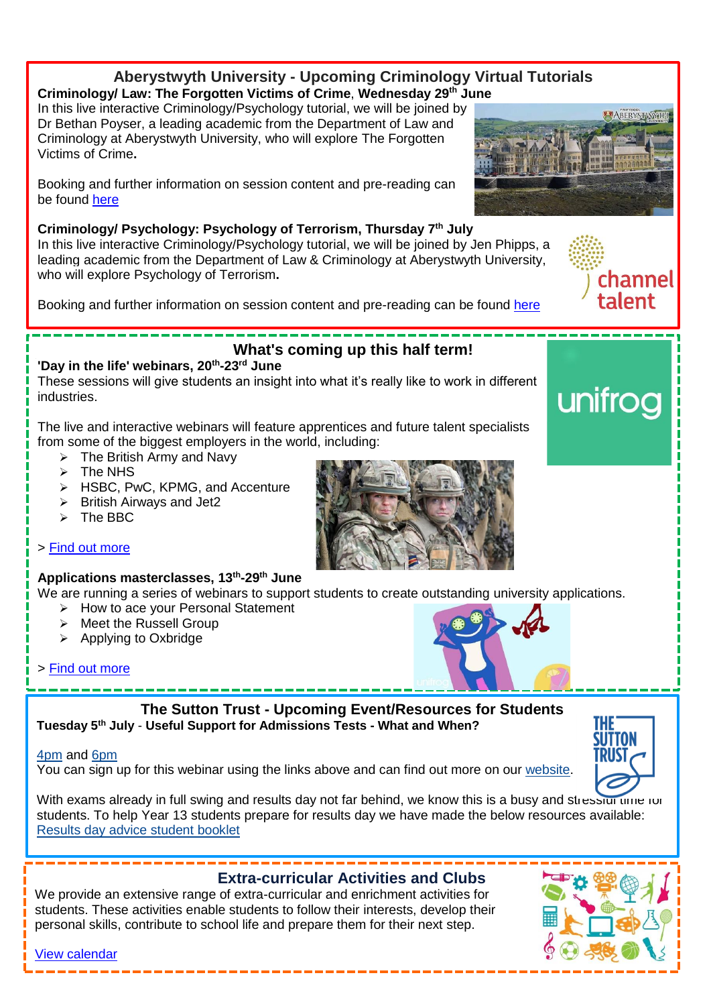#### **Aberystwyth University - Upcoming Criminology Virtual Tutorials Criminology/ Law: The Forgotten Victims of Crime**, **Wednesday 29th June**

In this live interactive Criminology/Psychology tutorial, we will be joined by Dr Bethan Poyser, a leading academic from the Department of Law and Criminology at Aberystwyth University, who will explore The Forgotten Victims of Crime**.**

Booking and further information on session content and pre-reading can be found [here](https://www.channeltalent.co.uk/event/criminology-law-the-forgotten-victims-of-crime-university-tutorial-with-dr-bethan-poyser-from-aberystwyth-university/)

#### **Criminology/ Psychology: Psychology of Terrorism, Thursday 7 th July**

In this live interactive Criminology/Psychology tutorial, we will be joined by Jen Phipps, a leading academic from the Department of Law & Criminology at Aberystwyth University, who will explore Psychology of Terrorism**.**

Booking and further information on session content and pre-reading can be found [here](https://www.channeltalent.co.uk/event/criminology-psychology-psychology-of-terrorism-university-tutorial-with-jen-phipps-from-aberystwyth-university/)

# **What's coming up this half term!**

**'Day in the life' webinars, 20th -23rd June** These sessions will give students an insight into what it's really like to work in different industries.

The live and interactive webinars will feature apprentices and future talent specialists from some of the biggest employers in the world, including:

- $\triangleright$  The British Army and Navy
- $\triangleright$  The NHS
- > HSBC, PwC, KPMG, and Accenture
- $\triangleright$  British Airways and Jet2
- $\triangleright$  The BBC

#### > [Find out more](https://email.unifrog.org/t/r-l-tyikdlik-birjklkhrl-j/)

#### **Applications masterclasses, 13th -29th June**

We are running a series of webinars to support students to create outstanding university applications.

- $\triangleright$  How to ace your Personal Statement
- $\triangleright$  Meet the Russell Group
- $\triangleright$  Applying to Oxbridge

#### > [Find out more](https://email.unifrog.org/t/r-l-tyikdlik-birjklkhrl-d/)



**Tuesday 5th July** - **Useful Support for Admissions Tests - What and When?**

#### [4pm](https://thesuttontrust.cmail20.com/t/j-l-vbjidd-djdjqludd-d/) and [6pm](https://thesuttontrust.cmail20.com/t/j-l-vbjidd-djdjqludd-h/)

You can sign up for this webinar using the links above and can find out more on our [website.](https://thesuttontrust.cmail20.com/t/j-l-vbjidd-djdjqludd-k/)

With exams already in full swing and results day not far behind, we know this is a busy and stression unre for students. To help Year 13 students prepare for results day we have made the below resources available: [Results day advice student booklet](https://thesuttontrust.cmail20.com/t/j-l-vbjidd-djdjqludd-u/)

# **Extra-curricular Activities and Clubs** We provide an extensive range of extra-curricular and enrichment activities for students. These activities enable students to follow their interests, develop their personal skills, contribute to school life and prepare them for their next step. [View calendar](https://www.windsorhighschool.org.uk/school-life/extra-curricular-activities/extra-curricular-activities-and-clubs/)









channel talent